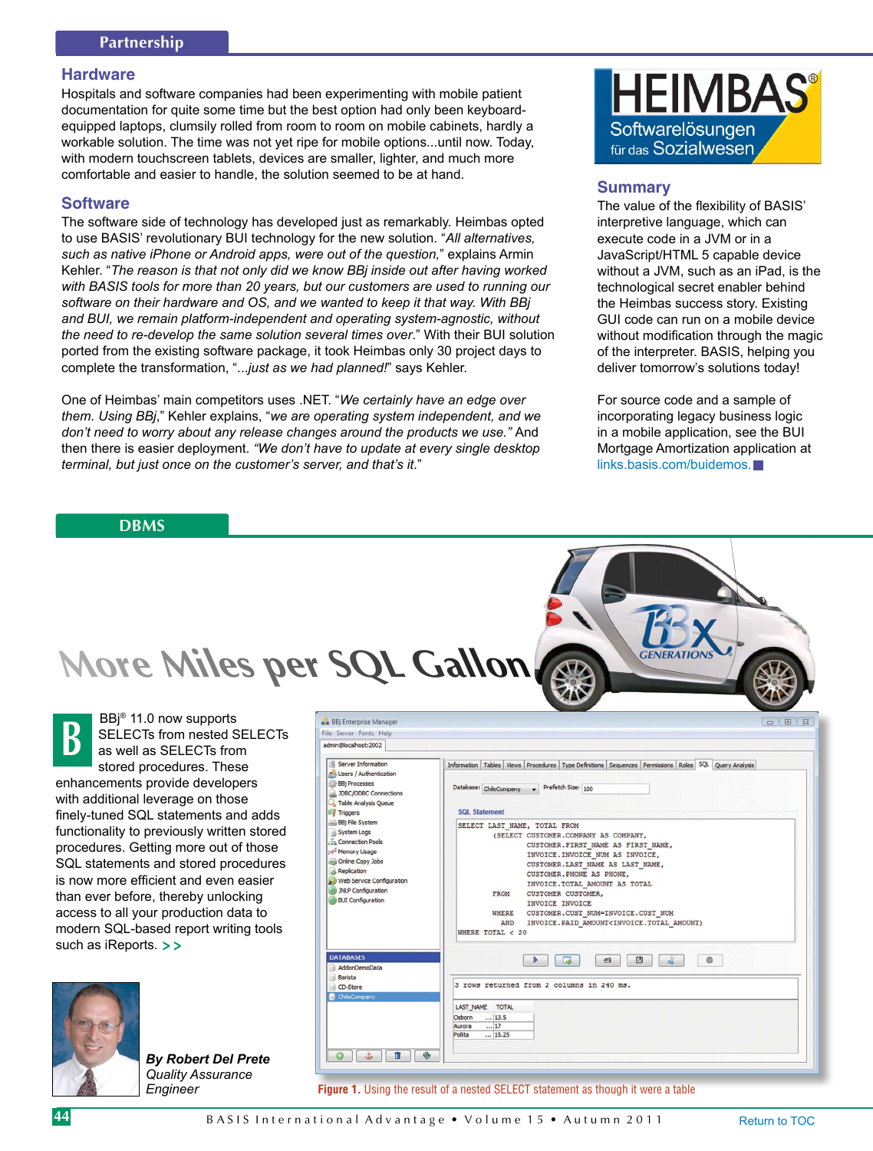## **Hardware**

Hospitals and software companies had been experimenting with mobile patient documentation for quite some time but the best option had only been keyboardequipped laptops, clumsily rolled from room to room on mobile cabinets, hardly a workable solution. The time was not yet ripe for mobile options...until now. Today, with modern touchscreen tablets, devices are smaller, lighter, and much more comfortable and easier to handle, the solution seemed to be at hand.

## **Software**

The software side of technology has developed just as remarkably. Heimbas opted to use BASIS' revolutionary BUI technology for the new solution. "*All alternatives, such as native iPhone or Android apps, were out of the question,*" explains Armin Kehler. "*The reason is that not only did we know BBj inside out after having worked with BASIS tools for more than 20 years, but our customers are used to running our software on their hardware and OS, and we wanted to keep it that way. With BBj and BUI, we remain platform-independent and operating system-agnostic, without the need to re-develop the same solution several times over*." With their BUI solution ported from the existing software package, it took Heimbas only 30 project days to complete the transformation, "...*just as we had planned!*" says Kehler.

One of Heimbas' main competitors uses .NET. "*We certainly have an edge over them. Using BBj*," Kehler explains, "*we are operating system independent, and we don't need to worry about any release changes around the products we use."* And then there is easier deployment. *"We don't have to update at every single desktop terminal, but just once on the customer's server, and that's it*."

# **DBMS**



## **Summary**

The value of the flexibility of BASIS' interpretive language, which can execute code in a JVM or in a JavaScript/HTML 5 capable device without a JVM, such as an iPad, is the technological secret enabler behind the Heimbas success story. Existing GUI code can run on a mobile device without modification through the magic of the interpreter. BASIS, helping you deliver tomorrow's solutions today!

For source code and a sample of incorporating legacy business logic in a mobile application, see the BUI Mortgage Amortization application at [links.basis.com/buidemos.](https://poweredbybbj.com/files/showcase/index.html)

BBj® 11.0 now supports SELECTs from nested SELECTs as well as SELECTs from stored procedures. These enhancements provide developers with additional leverage on those finely-tuned SQL statements and adds functionality to previously written stored procedures. Getting more out of those SQL statements and stored procedures is now more efficient and even easier than ever before, thereby unlocking access to all your production data to modern SQL-based report writing tools such as iReports. **> > B**



| By Robert Del Prete |
|---------------------|
| Quality Assurance   |
| Engineer            |

| admin@localhost:2002<br>Information   Tables   Views   Procedures   Type Definitions   Sequences   Permissions   Roles   SQL   Query Analysis<br>Prefetch Size: 100<br>Database: ChileCompany<br><b>SQL Statement</b><br><b>Triggers</b><br>SELECT LAST NAME, TOTAL FROM<br>(SELECT CUSTOMER.COMPANY AS COMPANY,<br>CUSTOMER. FIRST NAME AS FIRST NAME,<br>INVOICE. INVOICE NUM AS INVOICE,<br>CUSTOMER. LAST NAME AS LAST NAME,<br>CUSTOMER. PHONE AS PHONE,<br>INVOICE. TOTAL AMOUNT AS TOTAL<br><b>FROM</b><br>CUSTOMER CUSTOMER,<br>INVOICE INVOICE<br>WHERE<br>CUSTOMER.CUST NUM=INVOICE.CUST NUM<br>INVOICE. PAID AMOUNT <invoice. amount)<br="" total="">AND<br/>WHERE TOTAL <math>&lt;</math> 20<br/><math>\frac{1}{a_0}</math><br/>G<br/>ō<br/><math>\blacksquare</math><br/>區<br/>3 rows returned from 2 columns in 240 ms.<br/>LAST NAME TOTAL<br/> 13.5<br/>Osborn<br/> 17<br/>Aurora</invoice.> | File Server Fonts Help                                                                                                                                                                                                |       |
|--------------------------------------------------------------------------------------------------------------------------------------------------------------------------------------------------------------------------------------------------------------------------------------------------------------------------------------------------------------------------------------------------------------------------------------------------------------------------------------------------------------------------------------------------------------------------------------------------------------------------------------------------------------------------------------------------------------------------------------------------------------------------------------------------------------------------------------------------------------------------------------------------------------|-----------------------------------------------------------------------------------------------------------------------------------------------------------------------------------------------------------------------|-------|
|                                                                                                                                                                                                                                                                                                                                                                                                                                                                                                                                                                                                                                                                                                                                                                                                                                                                                                              |                                                                                                                                                                                                                       |       |
| ChileCompany                                                                                                                                                                                                                                                                                                                                                                                                                                                                                                                                                                                                                                                                                                                                                                                                                                                                                                 | Server Information<br>Co Users / Authentication<br><b>BBj Processes</b><br>JDBC/ODBC Connections<br><b>Q</b> Table Analysis Queue                                                                                     |       |
|                                                                                                                                                                                                                                                                                                                                                                                                                                                                                                                                                                                                                                                                                                                                                                                                                                                                                                              | <b>BBj File System</b><br>System Logs<br>Connection Pools<br><b>Se<sup>4</sup> Memory Usage</b><br>Online Copy Jobs<br>Replication<br>(2) Web Service Configuration<br>JNLP Configuration<br><b>BUI</b> Configuration |       |
|                                                                                                                                                                                                                                                                                                                                                                                                                                                                                                                                                                                                                                                                                                                                                                                                                                                                                                              | <b>DATABASES</b><br>AddonDemoData<br><b>Barista</b><br>CD-Store                                                                                                                                                       |       |
| Pollita<br>⊛<br>Ù<br>ران.                                                                                                                                                                                                                                                                                                                                                                                                                                                                                                                                                                                                                                                                                                                                                                                                                                                                                    |                                                                                                                                                                                                                       | 15.25 |